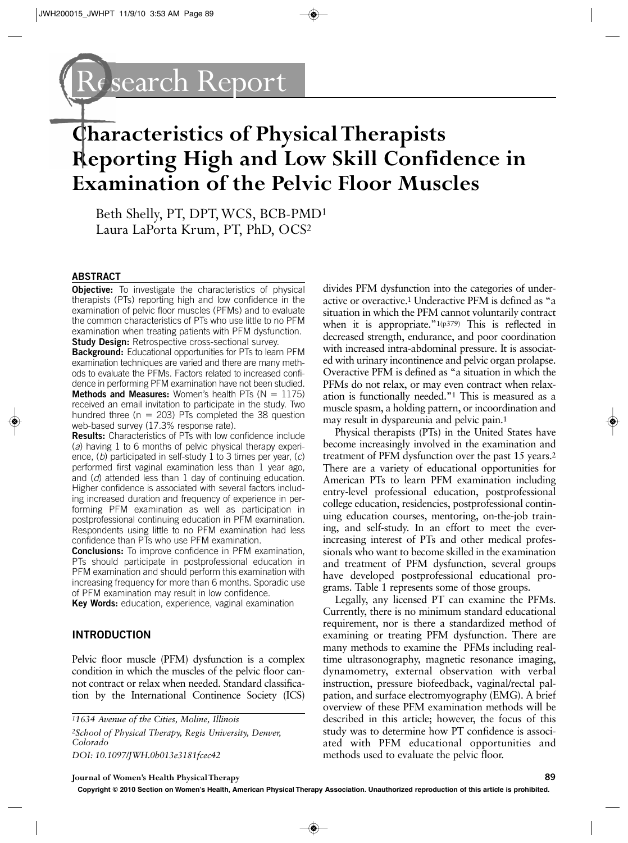search Report

# **Characteristics of Physical Therapists Reporting High and Low Skill Confidence in Examination of the Pelvic Floor Muscles**

Beth Shelly, PT, DPT, WCS, BCB-PMD1 Laura LaPorta Krum, PT, PhD, OCS2

#### **ABSTRACT**

**Objective:** To investigate the characteristics of physical therapists (PTs) reporting high and low confidence in the examination of pelvic floor muscles (PFMs) and to evaluate the common characteristics of PTs who use little to no PFM examination when treating patients with PFM dysfunction. **Study Design:** Retrospective cross-sectional survey.

**Background:** Educational opportunities for PTs to learn PFM examination techniques are varied and there are many methods to evaluate the PFMs. Factors related to increased confidence in performing PFM examination have not been studied.

**Methods and Measures:** Women's health PTs  $(N = 1175)$ received an email invitation to participate in the study. Two hundred three ( $n = 203$ ) PTs completed the 38 question web-based survey (17.3% response rate).

**Results:** Characteristics of PTs with low confidence include (a) having 1 to 6 months of pelvic physical therapy experience, (b) participated in self-study 1 to 3 times per year, (c) performed first vaginal examination less than 1 year ago, and (d) attended less than 1 day of continuing education. Higher confidence is associated with several factors including increased duration and frequency of experience in performing PFM examination as well as participation in postprofessional continuing education in PFM examination. Respondents using little to no PFM examination had less confidence than PTs who use PFM examination.

**Conclusions:** To improve confidence in PFM examination, PTs should participate in postprofessional education in PFM examination and should perform this examination with increasing frequency for more than 6 months. Sporadic use of PFM examination may result in low confidence.

**Key Words:** education, experience, vaginal examination

## **INTRODUCTION**

Pelvic floor muscle (PFM) dysfunction is a complex condition in which the muscles of the pelvic floor cannot contract or relax when needed. Standard classification by the International Continence Society (ICS)

*11634 Avenue of the Cities, Moline, Illinois 2School of Physical Therapy, Regis University, Denver, Colorado DOI: 10.1097/JWH.0b013e3181fcec42*

divides PFM dysfunction into the categories of underactive or overactive.1 Underactive PFM is defined as "a situation in which the PFM cannot voluntarily contract when it is appropriate."<sup>1(p379)</sup> This is reflected in decreased strength, endurance, and poor coordination with increased intra-abdominal pressure. It is associated with urinary incontinence and pelvic organ prolapse. Overactive PFM is defined as "a situation in which the PFMs do not relax, or may even contract when relaxation is functionally needed."1 This is measured as a muscle spasm, a holding pattern, or incoordination and may result in dyspareunia and pelvic pain.1

Physical therapists (PTs) in the United States have become increasingly involved in the examination and treatment of PFM dysfunction over the past 15 years.2 There are a variety of educational opportunities for American PTs to learn PFM examination including entry-level professional education, postprofessional college education, residencies, postprofessional continuing education courses, mentoring, on-the-job training, and self-study. In an effort to meet the everincreasing interest of PTs and other medical professionals who want to become skilled in the examination and treatment of PFM dysfunction, several groups have developed postprofessional educational programs. Table 1 represents some of those groups.

Legally, any licensed PT can examine the PFMs. Currently, there is no minimum standard educational requirement, nor is there a standardized method of examining or treating PFM dysfunction. There are many methods to examine the PFMs including realtime ultrasonography, magnetic resonance imaging, dynamometry, external observation with verbal instruction, pressure biofeedback, vaginal/rectal palpation, and surface electromyography (EMG). A brief overview of these PFM examination methods will be described in this article; however, the focus of this study was to determine how PT confidence is associated with PFM educational opportunities and methods used to evaluate the pelvic floor.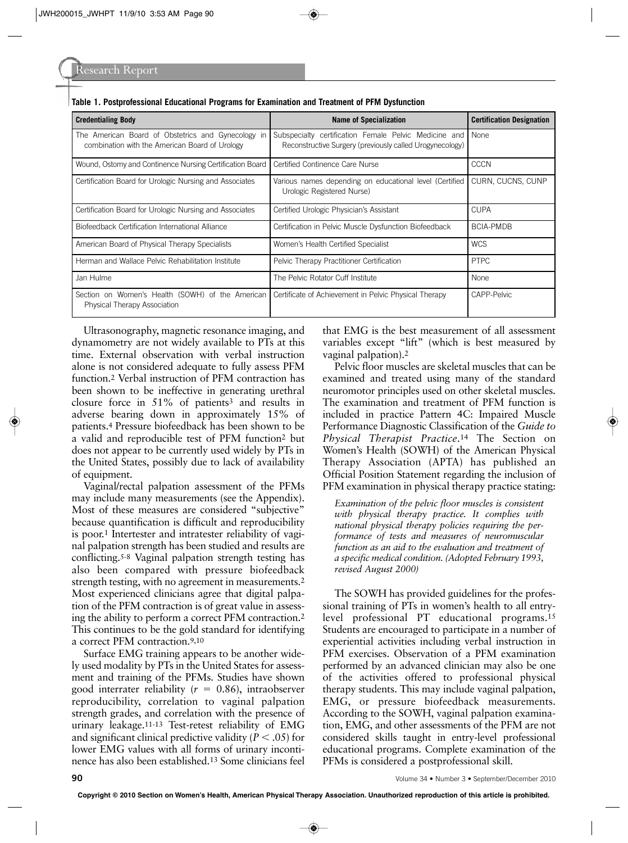| <b>Credentialing Body</b>                                                                            | <b>Name of Specialization</b>                                                                                     | <b>Certification Designation</b> |
|------------------------------------------------------------------------------------------------------|-------------------------------------------------------------------------------------------------------------------|----------------------------------|
| The American Board of Obstetrics and Gynecology in<br>combination with the American Board of Urology | Subspecialty certification Female Pelvic Medicine and<br>Reconstructive Surgery (previously called Urogynecology) | None                             |
| Wound, Ostomy and Continence Nursing Certification Board                                             | Certified Continence Care Nurse                                                                                   | <b>CCCN</b>                      |
| Certification Board for Urologic Nursing and Associates                                              | Various names depending on educational level (Certified<br>Urologic Registered Nurse)                             | CURN, CUCNS, CUNP                |
| Certification Board for Urologic Nursing and Associates                                              | Certified Urologic Physician's Assistant                                                                          | <b>CUPA</b>                      |
| Biofeedback Certification International Alliance                                                     | Certification in Pelvic Muscle Dysfunction Biofeedback                                                            | <b>BCIA-PMDB</b>                 |
| American Board of Physical Therapy Specialists                                                       | Women's Health Certified Specialist                                                                               | <b>WCS</b>                       |
| Herman and Wallace Pelvic Rehabilitation Institute                                                   | Pelvic Therapy Practitioner Certification                                                                         | <b>PTPC</b>                      |
| Jan Hulme                                                                                            | The Pelvic Rotator Cuff Institute                                                                                 | <b>None</b>                      |
| Section on Women's Health (SOWH) of the American<br><b>Physical Therapy Association</b>              | Certificate of Achievement in Pelvic Physical Therapy                                                             | CAPP-Pelvic                      |

**Table 1. Postprofessional Educational Programs for Examination and Treatment of PFM Dysfunction** 

Ultrasonography, magnetic resonance imaging, and dynamometry are not widely available to PTs at this time. External observation with verbal instruction alone is not considered adequate to fully assess PFM function.2 Verbal instruction of PFM contraction has been shown to be ineffective in generating urethral closure force in 51% of patients3 and results in adverse bearing down in approximately 15% of patients.4 Pressure biofeedback has been shown to be a valid and reproducible test of PFM function2 but does not appear to be currently used widely by PTs in the United States, possibly due to lack of availability of equipment.

Vaginal/rectal palpation assessment of the PFMs may include many measurements (see the Appendix). Most of these measures are considered "subjective" because quantification is difficult and reproducibility is poor.1 Intertester and intratester reliability of vaginal palpation strength has been studied and results are conflicting.5-8 Vaginal palpation strength testing has also been compared with pressure biofeedback strength testing, with no agreement in measurements.2 Most experienced clinicians agree that digital palpation of the PFM contraction is of great value in assessing the ability to perform a correct PFM contraction.2 This continues to be the gold standard for identifying a correct PFM contraction.9,10

Surface EMG training appears to be another widely used modality by PTs in the United States for assessment and training of the PFMs. Studies have shown good interrater reliability (*r* = 0.86), intraobserver reproducibility, correlation to vaginal palpation strength grades, and correlation with the presence of urinary leakage.11-13 Test-retest reliability of EMG and significant clinical predictive validity  $(P < .05)$  for lower EMG values with all forms of urinary incontinence has also been established.13 Some clinicians feel

that EMG is the best measurement of all assessment variables except "lift" (which is best measured by vaginal palpation).2

Pelvic floor muscles are skeletal muscles that can be examined and treated using many of the standard neuromotor principles used on other skeletal muscles. The examination and treatment of PFM function is included in practice Pattern 4C: Impaired Muscle Performance Diagnostic Classification of the *Guide to Physical Therapist Practice*.14 The Section on Women's Health (SOWH) of the American Physical Therapy Association (APTA) has published an Official Position Statement regarding the inclusion of PFM examination in physical therapy practice stating:

*Examination of the pelvic floor muscles is consistent with physical therapy practice. It complies with national physical therapy policies requiring the performance of tests and measures of neuromuscular function as an aid to the evaluation and treatment of a specific medical condition. (Adopted February 1993, revised August 2000)*

The SOWH has provided guidelines for the professional training of PTs in women's health to all entrylevel professional PT educational programs.15 Students are encouraged to participate in a number of experiential activities including verbal instruction in PFM exercises. Observation of a PFM examination performed by an advanced clinician may also be one of the activities offered to professional physical therapy students. This may include vaginal palpation, EMG, or pressure biofeedback measurements. According to the SOWH, vaginal palpation examination, EMG, and other assessments of the PFM are not considered skills taught in entry-level professional educational programs. Complete examination of the PFMs is considered a postprofessional skill.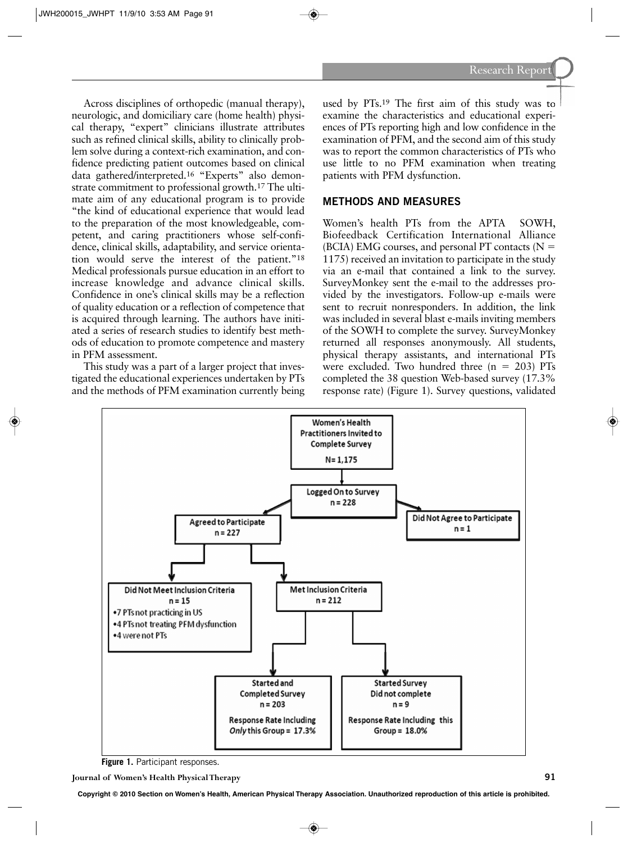Across disciplines of orthopedic (manual therapy), neurologic, and domiciliary care (home health) physical therapy, "expert" clinicians illustrate attributes such as refined clinical skills, ability to clinically problem solve during a context-rich examination, and confidence predicting patient outcomes based on clinical data gathered/interpreted.16 "Experts" also demonstrate commitment to professional growth.17 The ultimate aim of any educational program is to provide "the kind of educational experience that would lead to the preparation of the most knowledgeable, competent, and caring practitioners whose self-confidence, clinical skills, adaptability, and service orientation would serve the interest of the patient."18 Medical professionals pursue education in an effort to increase knowledge and advance clinical skills. Confidence in one's clinical skills may be a reflection of quality education or a reflection of competence that is acquired through learning. The authors have initiated a series of research studies to identify best methods of education to promote competence and mastery in PFM assessment.

This study was a part of a larger project that investigated the educational experiences undertaken by PTs and the methods of PFM examination currently being used by PTs.19 The first aim of this study was to examine the characteristics and educational experiences of PTs reporting high and low confidence in the examination of PFM, and the second aim of this study was to report the common characteristics of PTs who use little to no PFM examination when treating patients with PFM dysfunction.

## **METHODS AND MEASURES**

Women's health PTs from the APTA SOWH, Biofeedback Certification International Alliance  $(BCIA)$  EMG courses, and personal PT contacts ( $N =$ 1175) received an invitation to participate in the study via an e-mail that contained a link to the survey. SurveyMonkey sent the e-mail to the addresses provided by the investigators. Follow-up e-mails were sent to recruit nonresponders. In addition, the link was included in several blast e-mails inviting members of the SOWH to complete the survey. SurveyMonkey returned all responses anonymously. All students, physical therapy assistants, and international PTs were excluded. Two hundred three  $(n = 203)$  PTs completed the 38 question Web-based survey (17.3% response rate) (Figure 1). Survey questions, validated



**Figure 1.** Participant responses.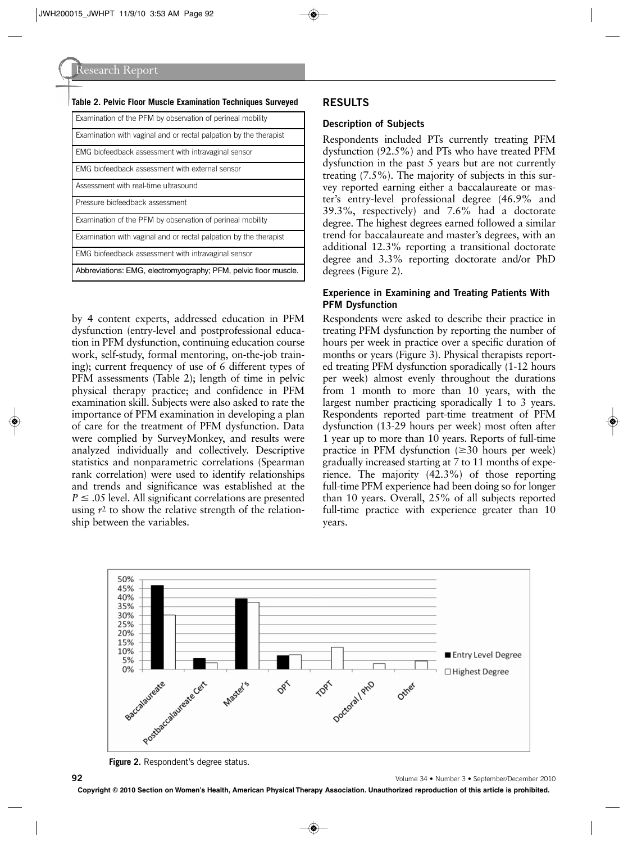| Table 2. Pelvic Floor Muscle Examination Techniques Surveyed |  |  |  |  |
|--------------------------------------------------------------|--|--|--|--|
|--------------------------------------------------------------|--|--|--|--|

| Examination of the PFM by observation of perineal mobility        |  |  |
|-------------------------------------------------------------------|--|--|
| Examination with vaginal and or rectal palpation by the therapist |  |  |
| EMG biofeedback assessment with intravaginal sensor               |  |  |
| EMG biofeedback assessment with external sensor                   |  |  |
| Assessment with real-time ultrasound                              |  |  |
| Pressure biofeedback assessment                                   |  |  |
| Examination of the PFM by observation of perineal mobility        |  |  |
| Examination with vaginal and or rectal palpation by the therapist |  |  |
| EMG biofeedback assessment with intravaginal sensor               |  |  |
| Abbreviations: EMG, electromyography; PFM, pelvic floor muscle.   |  |  |

by 4 content experts, addressed education in PFM dysfunction (entry-level and postprofessional education in PFM dysfunction, continuing education course work, self-study, formal mentoring, on-the-job training); current frequency of use of 6 different types of PFM assessments (Table 2); length of time in pelvic physical therapy practice; and confidence in PFM examination skill. Subjects were also asked to rate the importance of PFM examination in developing a plan of care for the treatment of PFM dysfunction. Data were complied by SurveyMonkey, and results were analyzed individually and collectively. Descriptive statistics and nonparametric correlations (Spearman rank correlation) were used to identify relationships and trends and significance was established at the  $P \leq .05$  level. All significant correlations are presented using  $r^2$  to show the relative strength of the relationship between the variables.

## **RESULTS**

#### **Description of Subjects**

Respondents included PTs currently treating PFM dysfunction (92.5%) and PTs who have treated PFM dysfunction in the past 5 years but are not currently treating (7.5%). The majority of subjects in this survey reported earning either a baccalaureate or master's entry-level professional degree (46.9% and 39.3%, respectively) and 7.6% had a doctorate degree. The highest degrees earned followed a similar trend for baccalaureate and master's degrees, with an additional 12.3% reporting a transitional doctorate degree and 3.3% reporting doctorate and/or PhD degrees (Figure 2).

## **Experience in Examining and Treating Patients With PFM Dysfunction**

Respondents were asked to describe their practice in treating PFM dysfunction by reporting the number of hours per week in practice over a specific duration of months or years (Figure 3). Physical therapists reported treating PFM dysfunction sporadically (1-12 hours per week) almost evenly throughout the durations from 1 month to more than 10 years, with the largest number practicing sporadically 1 to 3 years. Respondents reported part-time treatment of PFM dysfunction (13-29 hours per week) most often after 1 year up to more than 10 years. Reports of full-time practice in PFM dysfunction  $(\geq 30$  hours per week) gradually increased starting at 7 to 11 months of experience. The majority (42.3%) of those reporting full-time PFM experience had been doing so for longer than 10 years. Overall, 25% of all subjects reported full-time practice with experience greater than 10 years.



**Figure 2.** Respondent's degree status.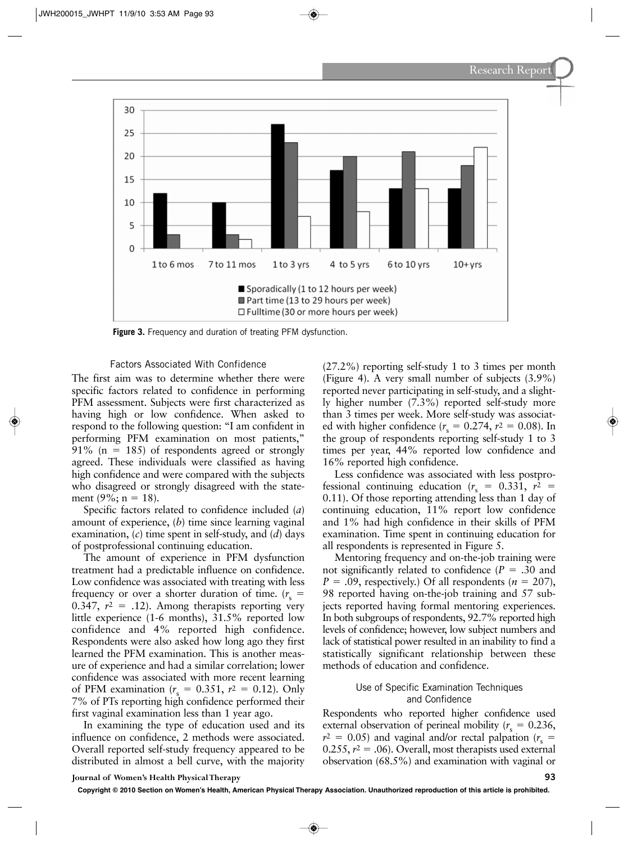

**Figure 3.** Frequency and duration of treating PFM dysfunction.

#### Factors Associated With Confidence

The first aim was to determine whether there were specific factors related to confidence in performing PFM assessment. Subjects were first characterized as having high or low confidence. When asked to respond to the following question: "I am confident in performing PFM examination on most patients,"  $91\%$  (n = 185) of respondents agreed or strongly agreed. These individuals were classified as having high confidence and were compared with the subjects who disagreed or strongly disagreed with the statement  $(9\%, n = 18)$ .

Specific factors related to confidence included (*a*) amount of experience, (*b*) time since learning vaginal examination, (*c*) time spent in self-study, and (*d*) days of postprofessional continuing education.

The amount of experience in PFM dysfunction treatment had a predictable influence on confidence. Low confidence was associated with treating with less frequency or over a shorter duration of time.  $(r<sub>s</sub> =$ 0.347,  $r^2 = 0.12$ ). Among therapists reporting very little experience (1-6 months), 31.5% reported low confidence and 4% reported high confidence. Respondents were also asked how long ago they first learned the PFM examination. This is another measure of experience and had a similar correlation; lower confidence was associated with more recent learning of PFM examination ( $r_s = 0.351$ ,  $r^2 = 0.12$ ). Only 7% of PTs reporting high confidence performed their first vaginal examination less than 1 year ago.

In examining the type of education used and its influence on confidence, 2 methods were associated. Overall reported self-study frequency appeared to be distributed in almost a bell curve, with the majority (27.2%) reporting self-study 1 to 3 times per month (Figure 4). A very small number of subjects (3.9%) reported never participating in self-study, and a slightly higher number (7.3%) reported self-study more than 3 times per week. More self-study was associated with higher confidence  $(r_s = 0.274, r^2 = 0.08)$ . In the group of respondents reporting self-study 1 to 3 times per year, 44% reported low confidence and 16% reported high confidence.

Less confidence was associated with less postprofessional continuing education  $(r_s = 0.331, r^2 =$ 0.11). Of those reporting attending less than 1 day of continuing education, 11% report low confidence and 1% had high confidence in their skills of PFM examination. Time spent in continuing education for all respondents is represented in Figure 5.

Mentoring frequency and on-the-job training were not significantly related to confidence  $(P = .30$  and  $P = .09$ , respectively.) Of all respondents ( $n = 207$ ), 98 reported having on-the-job training and 57 subjects reported having formal mentoring experiences. In both subgroups of respondents, 92.7% reported high levels of confidence; however, low subject numbers and lack of statistical power resulted in an inability to find a statistically significant relationship between these methods of education and confidence.

## Use of Specific Examination Techniques and Confidence

Respondents who reported higher confidence used external observation of perineal mobility ( $r_s = 0.236$ ,  $r^2 = 0.05$ ) and vaginal and/or rectal palpation ( $r_s =$  $0.255, r<sup>2</sup> = .06$ ). Overall, most therapists used external observation (68.5%) and examination with vaginal or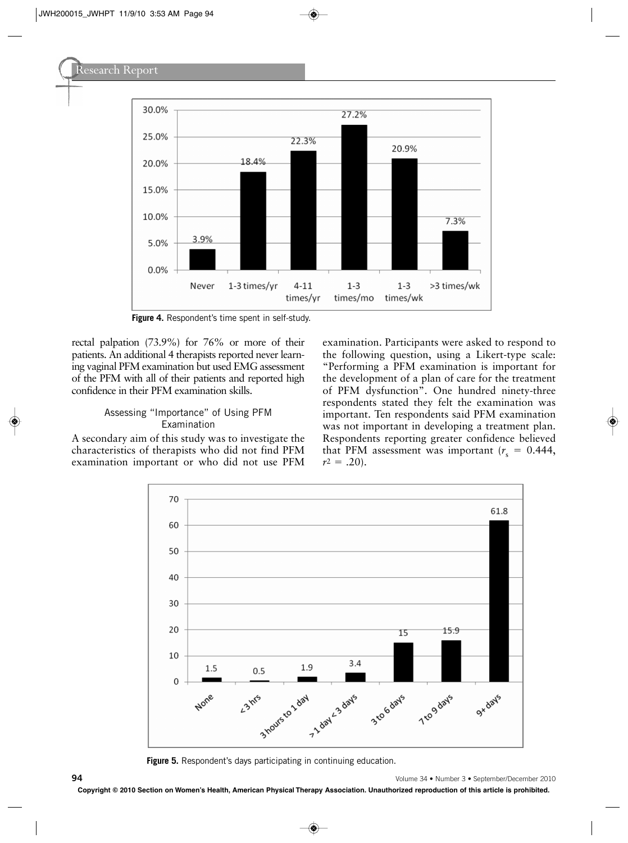

**Figure 4.** Respondent's time spent in self-study.

rectal palpation (73.9%) for 76% or more of their patients. An additional 4 therapists reported never learning vaginal PFM examination but used EMG assessment of the PFM with all of their patients and reported high confidence in their PFM examination skills.

# Assessing "Importance" of Using PFM Examination

A secondary aim of this study was to investigate the characteristics of therapists who did not find PFM examination important or who did not use PFM examination. Participants were asked to respond to the following question, using a Likert-type scale: "Performing a PFM examination is important for the development of a plan of care for the treatment of PFM dysfunction". One hundred ninety-three respondents stated they felt the examination was important. Ten respondents said PFM examination was not important in developing a treatment plan. Respondents reporting greater confidence believed that PFM assessment was important  $(r<sub>s</sub> = 0.444,$  $r^2 = .20$ ).



**Figure 5.** Respondent's days participating in continuing education.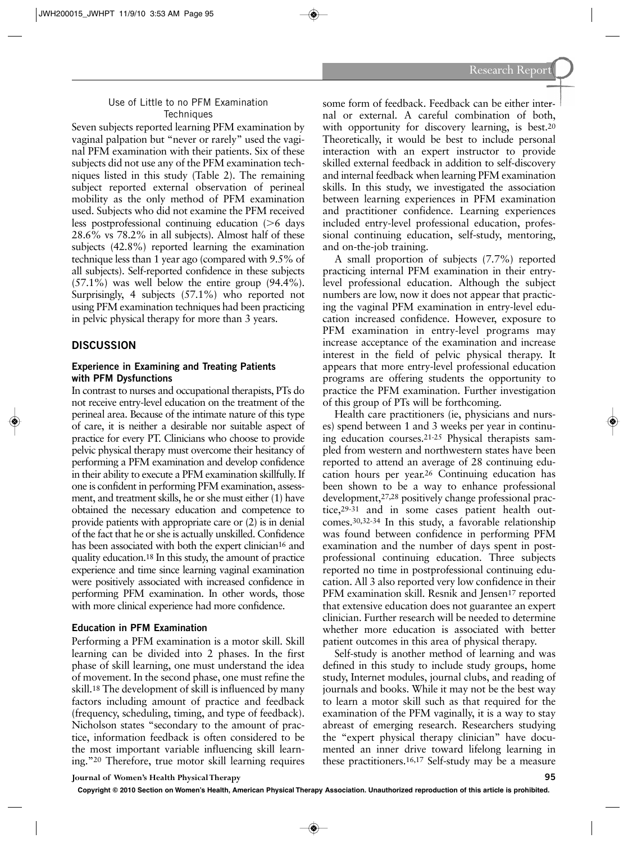## Use of Little to no PFM Examination **Techniques**

Seven subjects reported learning PFM examination by vaginal palpation but "never or rarely" used the vaginal PFM examination with their patients. Six of these subjects did not use any of the PFM examination techniques listed in this study (Table 2). The remaining subject reported external observation of perineal mobility as the only method of PFM examination used. Subjects who did not examine the PFM received less postprofessional continuing education  $(>6$  days 28.6% vs 78.2% in all subjects). Almost half of these subjects (42.8%) reported learning the examination technique less than 1 year ago (compared with 9.5% of all subjects). Self-reported confidence in these subjects  $(57.1\%)$  was well below the entire group  $(94.4\%).$ Surprisingly, 4 subjects (57.1%) who reported not using PFM examination techniques had been practicing in pelvic physical therapy for more than 3 years.

# **DISCUSSION**

# **Experience in Examining and Treating Patients with PFM Dysfunctions**

In contrast to nurses and occupational therapists, PTs do not receive entry-level education on the treatment of the perineal area. Because of the intimate nature of this type of care, it is neither a desirable nor suitable aspect of practice for every PT. Clinicians who choose to provide pelvic physical therapy must overcome their hesitancy of performing a PFM examination and develop confidence in their ability to execute a PFM examination skillfully. If one is confident in performing PFM examination, assessment, and treatment skills, he or she must either (1) have obtained the necessary education and competence to provide patients with appropriate care or (2) is in denial of the fact that he or she is actually unskilled. Confidence has been associated with both the expert clinician<sup>16</sup> and quality education.18 In this study, the amount of practice experience and time since learning vaginal examination were positively associated with increased confidence in performing PFM examination. In other words, those with more clinical experience had more confidence.

# **Education in PFM Examination**

Performing a PFM examination is a motor skill. Skill learning can be divided into 2 phases. In the first phase of skill learning, one must understand the idea of movement. In the second phase, one must refine the skill.18 The development of skill is influenced by many factors including amount of practice and feedback (frequency, scheduling, timing, and type of feedback). Nicholson states "secondary to the amount of practice, information feedback is often considered to be the most important variable influencing skill learning."20 Therefore, true motor skill learning requires

some form of feedback. Feedback can be either internal or external. A careful combination of both, with opportunity for discovery learning, is best.<sup>20</sup> Theoretically, it would be best to include personal interaction with an expert instructor to provide skilled external feedback in addition to self-discovery and internal feedback when learning PFM examination skills. In this study, we investigated the association between learning experiences in PFM examination and practitioner confidence. Learning experiences included entry-level professional education, professional continuing education, self-study, mentoring, and on-the-job training.

A small proportion of subjects (7.7%) reported practicing internal PFM examination in their entrylevel professional education. Although the subject numbers are low, now it does not appear that practicing the vaginal PFM examination in entry-level education increased confidence. However, exposure to PFM examination in entry-level programs may increase acceptance of the examination and increase interest in the field of pelvic physical therapy. It appears that more entry-level professional education programs are offering students the opportunity to practice the PFM examination. Further investigation of this group of PTs will be forthcoming.

Health care practitioners (ie, physicians and nurses) spend between 1 and 3 weeks per year in continuing education courses.21-25 Physical therapists sampled from western and northwestern states have been reported to attend an average of 28 continuing education hours per year.26 Continuing education has been shown to be a way to enhance professional development,27,28 positively change professional practice,29-31 and in some cases patient health outcomes.30,32-34 In this study, a favorable relationship was found between confidence in performing PFM examination and the number of days spent in postprofessional continuing education. Three subjects reported no time in postprofessional continuing education. All 3 also reported very low confidence in their PFM examination skill. Resnik and Jensen<sup>17</sup> reported that extensive education does not guarantee an expert clinician. Further research will be needed to determine whether more education is associated with better patient outcomes in this area of physical therapy.

Self-study is another method of learning and was defined in this study to include study groups, home study, Internet modules, journal clubs, and reading of journals and books. While it may not be the best way to learn a motor skill such as that required for the examination of the PFM vaginally, it is a way to stay abreast of emerging research. Researchers studying the "expert physical therapy clinician" have documented an inner drive toward lifelong learning in these practitioners.16,17 Self-study may be a measure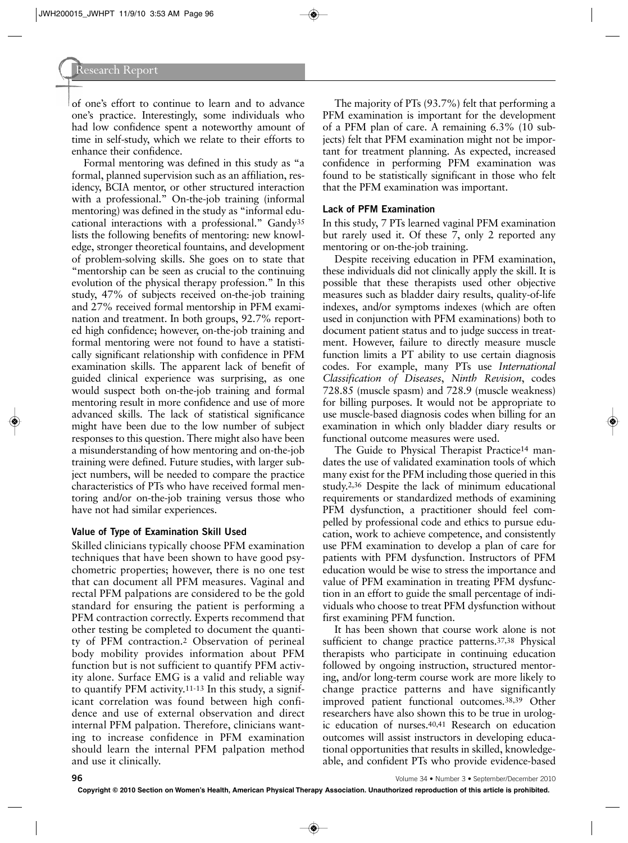of one's effort to continue to learn and to advance one's practice. Interestingly, some individuals who had low confidence spent a noteworthy amount of time in self-study, which we relate to their efforts to enhance their confidence.

Formal mentoring was defined in this study as "a formal, planned supervision such as an affiliation, residency, BCIA mentor, or other structured interaction with a professional." On-the-job training (informal mentoring) was defined in the study as "informal educational interactions with a professional." Gandy35 lists the following benefits of mentoring: new knowledge, stronger theoretical fountains, and development of problem-solving skills. She goes on to state that "mentorship can be seen as crucial to the continuing evolution of the physical therapy profession." In this study, 47% of subjects received on-the-job training and 27% received formal mentorship in PFM examination and treatment. In both groups, 92.7% reported high confidence; however, on-the-job training and formal mentoring were not found to have a statistically significant relationship with confidence in PFM examination skills. The apparent lack of benefit of guided clinical experience was surprising, as one would suspect both on-the-job training and formal mentoring result in more confidence and use of more advanced skills. The lack of statistical significance might have been due to the low number of subject responses to this question. There might also have been a misunderstanding of how mentoring and on-the-job training were defined. Future studies, with larger subject numbers, will be needed to compare the practice characteristics of PTs who have received formal mentoring and/or on-the-job training versus those who have not had similar experiences.

#### **Value of Type of Examination Skill Used**

Skilled clinicians typically choose PFM examination techniques that have been shown to have good psychometric properties; however, there is no one test that can document all PFM measures. Vaginal and rectal PFM palpations are considered to be the gold standard for ensuring the patient is performing a PFM contraction correctly. Experts recommend that other testing be completed to document the quantity of PFM contraction.2 Observation of perineal body mobility provides information about PFM function but is not sufficient to quantify PFM activity alone. Surface EMG is a valid and reliable way to quantify PFM activity.11-13 In this study, a significant correlation was found between high confidence and use of external observation and direct internal PFM palpation. Therefore, clinicians wanting to increase confidence in PFM examination should learn the internal PFM palpation method and use it clinically.

The majority of PTs (93.7%) felt that performing a PFM examination is important for the development of a PFM plan of care. A remaining 6.3% (10 subjects) felt that PFM examination might not be important for treatment planning. As expected, increased confidence in performing PFM examination was found to be statistically significant in those who felt that the PFM examination was important.

#### **Lack of PFM Examination**

In this study, 7 PTs learned vaginal PFM examination but rarely used it. Of these 7, only 2 reported any mentoring or on-the-job training.

Despite receiving education in PFM examination, these individuals did not clinically apply the skill. It is possible that these therapists used other objective measures such as bladder dairy results, quality-of-life indexes, and/or symptoms indexes (which are often used in conjunction with PFM examinations) both to document patient status and to judge success in treatment. However, failure to directly measure muscle function limits a PT ability to use certain diagnosis codes. For example, many PTs use *International Classification of Diseases*, *Ninth Revision*, codes 728.85 (muscle spasm) and 728.9 (muscle weakness) for billing purposes. It would not be appropriate to use muscle-based diagnosis codes when billing for an examination in which only bladder diary results or functional outcome measures were used.

The Guide to Physical Therapist Practice14 mandates the use of validated examination tools of which many exist for the PFM including those queried in this study.2,36 Despite the lack of minimum educational requirements or standardized methods of examining PFM dysfunction, a practitioner should feel compelled by professional code and ethics to pursue education, work to achieve competence, and consistently use PFM examination to develop a plan of care for patients with PFM dysfunction. Instructors of PFM education would be wise to stress the importance and value of PFM examination in treating PFM dysfunction in an effort to guide the small percentage of individuals who choose to treat PFM dysfunction without first examining PFM function.

It has been shown that course work alone is not sufficient to change practice patterns.37,38 Physical therapists who participate in continuing education followed by ongoing instruction, structured mentoring, and/or long-term course work are more likely to change practice patterns and have significantly improved patient functional outcomes.38,39 Other researchers have also shown this to be true in urologic education of nurses.40,41 Research on education outcomes will assist instructors in developing educational opportunities that results in skilled, knowledgeable, and confident PTs who provide evidence-based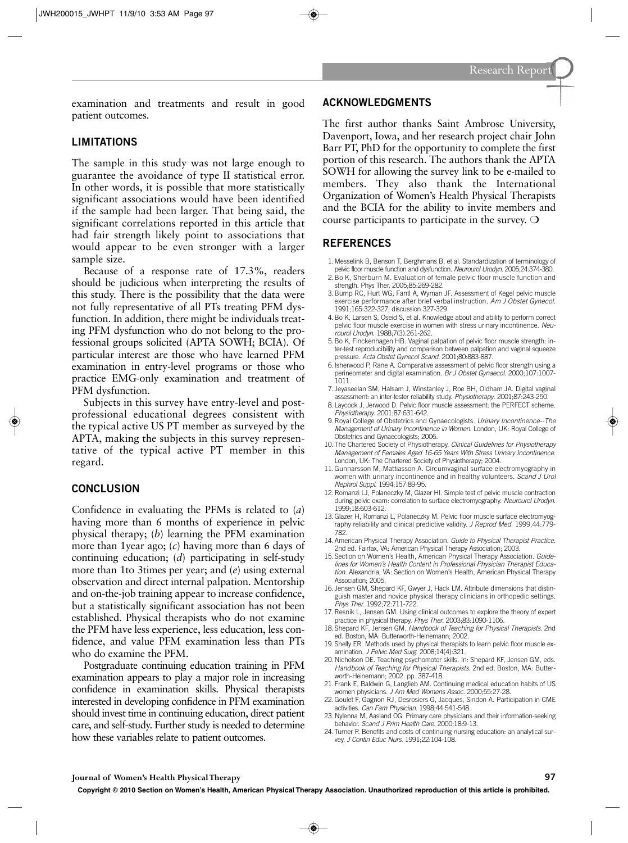examination and treatments and result in good patient outcomes.

# **LIMITATIONS**

The sample in this study was not large enough to guarantee the avoidance of type II statistical error. In other words, it is possible that more statistically significant associations would have been identified if the sample had been larger. That being said, the significant correlations reported in this article that had fair strength likely point to associations that would appear to be even stronger with a larger sample size.

Because of a response rate of 17.3%, readers should be judicious when interpreting the results of this study. There is the possibility that the data were not fully representative of all PTs treating PFM dysfunction. In addition, there might be individuals treating PFM dysfunction who do not belong to the professional groups solicited (APTA SOWH; BCIA). Of particular interest are those who have learned PFM examination in entry-level programs or those who practice EMG-only examination and treatment of PFM dysfunction.

Subjects in this survey have entry-level and postprofessional educational degrees consistent with the typical active US PT member as surveyed by the APTA, making the subjects in this survey representative of the typical active PT member in this regard.

#### **CONCLUSION**

Confidence in evaluating the PFMs is related to (*a*) having more than 6 months of experience in pelvic physical therapy; (*b*) learning the PFM examination more than 1year ago; (*c*) having more than 6 days of continuing education; (*d*) participating in self-study more than 1to 3times per year; and (*e*) using external observation and direct internal palpation. Mentorship and on-the-job training appear to increase confidence, but a statistically significant association has not been established. Physical therapists who do not examine the PFM have less experience, less education, less confidence, and value PFM examination less than PTs who do examine the PFM.

Postgraduate continuing education training in PFM examination appears to play a major role in increasing confidence in examination skills. Physical therapists interested in developing confidence in PFM examination should invest time in continuing education, direct patient care, and self-study. Further study is needed to determine how these variables relate to patient outcomes.

#### **ACKNOWLEDGMENTS**

The first author thanks Saint Ambrose University, Davenport, Iowa, and her research project chair John Barr PT, PhD for the opportunity to complete the first portion of this research. The authors thank the APTA SOWH for allowing the survey link to be e-mailed to members. They also thank the International Organization of Women's Health Physical Therapists and the BCIA for the ability to invite members and course participants to participate in the survey. ❍

# **REFERENCES**

- 1. Messelink B, Benson T, Berghmans B, et al. Standardization of terminology of pelvic floor muscle function and dysfunction. Neurourol Urodyn. 2005;24:374-380.
- 2. Bo K, Sherburn M. Evaluation of female pelvic floor muscle function and strength. Phys Ther. 2005;85:269-282.
- 3. Bump RC, Hurt WG, Fantl A, Wyman JF. Assessment of Kegel pelvic muscle exercise performance after brief verbal instruction. Am J Obstet Gynecol. 1991;165:322-327; discussion 327-329.
- 4. Bo K, Larsen S, Oseid S, et al. Knowledge about and ability to perform correct pelvic floor muscle exercise in women with stress urinary incontinence. Neurourol Urodyn. 1988;7(3):261-262.
- 5. Bo K, Finckenhagen HB. Vaginal palpation of pelvic floor muscle strength: inter-test reproducibility and comparison between palpation and vaginal squeeze pressure. Acta Obstet Gynecol Scand. 2001;80:883-887.
- 6. Isherwood P, Rane A. Comparative assessment of pelvic floor strength using a perineometer and digital examination. Br J Obstet Gynaecol. 2000;107:1007-1011.
- 7. Jeyaseelan SM, Halsam J, Winstanley J, Roe BH, Oldham JA. Digital vaginal assessment: an inter-tester reliability study. Physiotherapy. 2001;87:243-250.
- 8. Laycock J, Jerwood D. Pelvic floor muscle assessment: the PERFECT scheme. Physiotherapy. 2001;87:631-642.
- 9. Royal College of Obstetrics and Gynaecologists. Urinary Incontinence--The Management of Urinary Incontinence in Women. London, UK: Royal College of Obstetrics and Gynaecologists; 2006.
- 10. The Chartered Society of Physiotherapy. Clinical Guidelines for Physiotherapy Management of Females Aged 16-65 Years With Stress Urinary Incontinence. London, UK: The Chartered Society of Physiotherapy; 2004.
- 11. Gunnarsson M, Mattiasson A. Circumvaginal surface electromyography in women with urinary incontinence and in healthy volunteers. Scand J Urol Nephrol Suppl. 1994;157:89-95.
- 12. Romanzi LJ, Polaneczky M, Glazer HI. Simple test of pelvic muscle contraction during pelvic exam: correlation to surface electromyography. Neurourol Urodyn. 1999;18:603-612.
- 13. Glazer H, Romanzi L, Polaneczky M. Pelvic floor muscle surface electromyography reliability and clinical predictive validity. J Reprod Med. 1999,44:779-782.
- 14. American Physical Therapy Association. Guide to Physical Therapist Practice. 2nd ed. Fairfax, VA: American Physical Therapy Association; 2003.
- 15. Section on Women's Health, American Physical Therapy Association. Guidelines for Women's Health Content in Professional Physician Therapist Education. Alexandria, VA: Section on Women's Health, American Physical Therapy Association; 2005.
- 16. Jensen GM, Shepard KF, Gwyer J, Hack LM. Attribute dimensions that distinguish master and novice physical therapy clinicians in orthopedic settings. Phys Ther. 1992;72:711-722.
- 17. Resnik L, Jensen GM. Using clinical outcomes to explore the theory of expert practice in physical therapy. Phys Ther. 2003;83:1090-1106.
- 18. Shepard KF, Jensen GM. Handbook of Teaching for Physical Therapists. 2nd ed. Boston, MA: Butterworth-Heinemann; 2002.
- 19. Shelly ER. Methods used by physical therapists to learn pelvic floor muscle examination. J Pelvic Med Surg. 2008;14(4):321.
- 20. Nicholson DE. Teaching psychomotor skills. In: Shepard KF, Jensen GM, eds. Handbook of Teaching for Physical Therapists. 2nd ed. Boston, MA: Butterworth-Heinemann; 2002. pp. 387-418.
- 21. Frank E, Baldwin G, Langlieb AM. Continuing medical education habits of US women physicians. J Am Med Womens Assoc. 2000;55:27-28.
- 22. Goulet F, Gagnon RJ, Desrosiers G, Jacques, Sindon A. Participation in CME activities. Can Fam Physician. 1998;44:541-548.
- 23. Nylenna M, Aasland OG. Primary care physicians and their information-seeking behavior. Scand J Prim Health Care. 2000;18:9-13.
- 24. Turner P. Benefits and costs of continuing nursing education: an analytical survey. J Contin Educ Nurs. 1991;22:104-108.